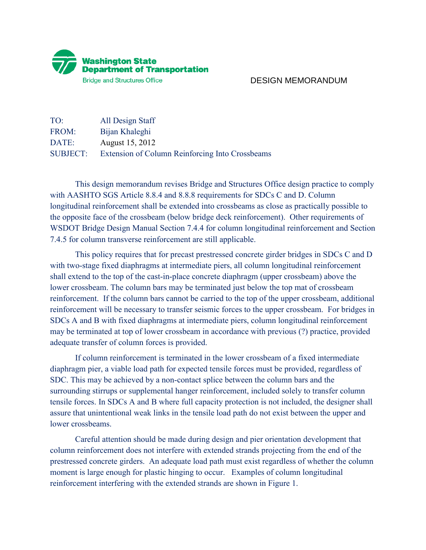

## DESIGN MEMORANDUM

| TO:             | All Design Staff                                |
|-----------------|-------------------------------------------------|
| FROM:           | Bijan Khaleghi                                  |
| DATE:           | August 15, 2012                                 |
| <b>SUBJECT:</b> | Extension of Column Reinforcing Into Crossbeams |

 This design memorandum revises Bridge and Structures Office design practice to comply with AASHTO SGS Article 8.8.4 and 8.8.8 requirements for SDCs C and D. Column longitudinal reinforcement shall be extended into crossbeams as close as practically possible to the opposite face of the crossbeam (below bridge deck reinforcement). Other requirements of WSDOT Bridge Design Manual Section 7.4.4 for column longitudinal reinforcement and Section 7.4.5 for column transverse reinforcement are still applicable.

 This policy requires that for precast prestressed concrete girder bridges in SDCs C and D with two-stage fixed diaphragms at intermediate piers, all column longitudinal reinforcement shall extend to the top of the cast-in-place concrete diaphragm (upper crossbeam) above the lower crossbeam. The column bars may be terminated just below the top mat of crossbeam reinforcement. If the column bars cannot be carried to the top of the upper crossbeam, additional reinforcement will be necessary to transfer seismic forces to the upper crossbeam. For bridges in SDCs A and B with fixed diaphragms at intermediate piers, column longitudinal reinforcement may be terminated at top of lower crossbeam in accordance with previous (?) practice, provided adequate transfer of column forces is provided.

If column reinforcement is terminated in the lower crossbeam of a fixed intermediate diaphragm pier, a viable load path for expected tensile forces must be provided, regardless of SDC. This may be achieved by a non-contact splice between the column bars and the surrounding stirrups or supplemental hanger reinforcement, included solely to transfer column tensile forces. In SDCs A and B where full capacity protection is not included, the designer shall assure that unintentional weak links in the tensile load path do not exist between the upper and lower crossbeams.

 Careful attention should be made during design and pier orientation development that column reinforcement does not interfere with extended strands projecting from the end of the prestressed concrete girders. An adequate load path must exist regardless of whether the column moment is large enough for plastic hinging to occur. Examples of column longitudinal reinforcement interfering with the extended strands are shown in Figure 1.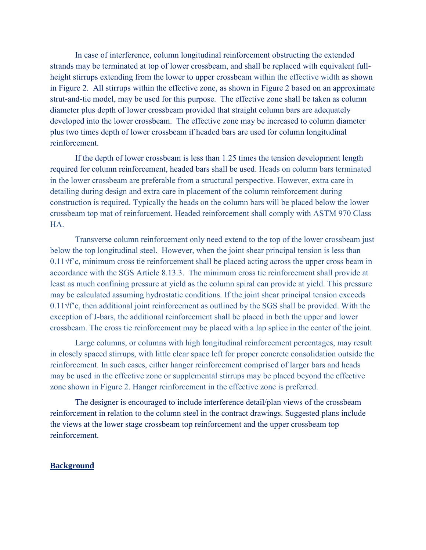In case of interference, column longitudinal reinforcement obstructing the extended strands may be terminated at top of lower crossbeam, and shall be replaced with equivalent fullheight stirrups extending from the lower to upper crossbeam within the effective width as shown in Figure 2. All stirrups within the effective zone, as shown in Figure 2 based on an approximate strut-and-tie model, may be used for this purpose. The effective zone shall be taken as column diameter plus depth of lower crossbeam provided that straight column bars are adequately developed into the lower crossbeam. The effective zone may be increased to column diameter plus two times depth of lower crossbeam if headed bars are used for column longitudinal reinforcement.

If the depth of lower crossbeam is less than 1.25 times the tension development length required for column reinforcement, headed bars shall be used. Heads on column bars terminated in the lower crossbeam are preferable from a structural perspective. However, extra care in detailing during design and extra care in placement of the column reinforcement during construction is required. Typically the heads on the column bars will be placed below the lower crossbeam top mat of reinforcement. Headed reinforcement shall comply with ASTM 970 Class HA.

Transverse column reinforcement only need extend to the top of the lower crossbeam just below the top longitudinal steel. However, when the joint shear principal tension is less than 0.11√f'c, minimum cross tie reinforcement shall be placed acting across the upper cross beam in accordance with the SGS Article 8.13.3. The minimum cross tie reinforcement shall provide at least as much confining pressure at yield as the column spiral can provide at yield. This pressure may be calculated assuming hydrostatic conditions. If the joint shear principal tension exceeds 0.11√f'c, then additional joint reinforcement as outlined by the SGS shall be provided. With the exception of J-bars, the additional reinforcement shall be placed in both the upper and lower crossbeam. The cross tie reinforcement may be placed with a lap splice in the center of the joint.

 Large columns, or columns with high longitudinal reinforcement percentages, may result in closely spaced stirrups, with little clear space left for proper concrete consolidation outside the reinforcement. In such cases, either hanger reinforcement comprised of larger bars and heads may be used in the effective zone or supplemental stirrups may be placed beyond the effective zone shown in Figure 2. Hanger reinforcement in the effective zone is preferred.

The designer is encouraged to include interference detail/plan views of the crossbeam reinforcement in relation to the column steel in the contract drawings. Suggested plans include the views at the lower stage crossbeam top reinforcement and the upper crossbeam top reinforcement.

## **Background**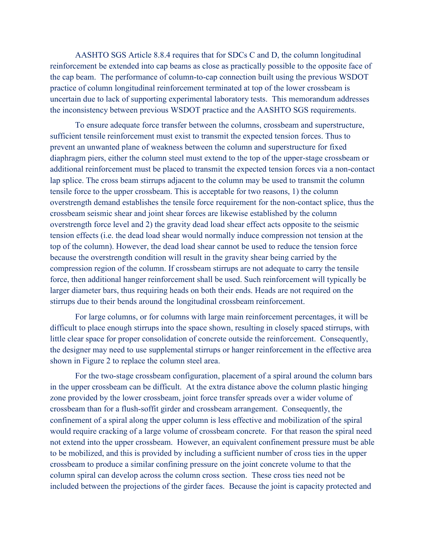AASHTO SGS Article 8.8.4 requires that for SDCs C and D, the column longitudinal reinforcement be extended into cap beams as close as practically possible to the opposite face of the cap beam. The performance of column-to-cap connection built using the previous WSDOT practice of column longitudinal reinforcement terminated at top of the lower crossbeam is uncertain due to lack of supporting experimental laboratory tests. This memorandum addresses the inconsistency between previous WSDOT practice and the AASHTO SGS requirements.

To ensure adequate force transfer between the columns, crossbeam and superstructure, sufficient tensile reinforcement must exist to transmit the expected tension forces. Thus to prevent an unwanted plane of weakness between the column and superstructure for fixed diaphragm piers, either the column steel must extend to the top of the upper-stage crossbeam or additional reinforcement must be placed to transmit the expected tension forces via a non-contact lap splice. The cross beam stirrups adjacent to the column may be used to transmit the column tensile force to the upper crossbeam. This is acceptable for two reasons, 1) the column overstrength demand establishes the tensile force requirement for the non-contact splice, thus the crossbeam seismic shear and joint shear forces are likewise established by the column overstrength force level and 2) the gravity dead load shear effect acts opposite to the seismic tension effects (i.e. the dead load shear would normally induce compression not tension at the top of the column). However, the dead load shear cannot be used to reduce the tension force because the overstrength condition will result in the gravity shear being carried by the compression region of the column. If crossbeam stirrups are not adequate to carry the tensile force, then additional hanger reinforcement shall be used. Such reinforcement will typically be larger diameter bars, thus requiring heads on both their ends. Heads are not required on the stirrups due to their bends around the longitudinal crossbeam reinforcement.

 For large columns, or for columns with large main reinforcement percentages, it will be difficult to place enough stirrups into the space shown, resulting in closely spaced stirrups, with little clear space for proper consolidation of concrete outside the reinforcement. Consequently, the designer may need to use supplemental stirrups or hanger reinforcement in the effective area shown in Figure 2 to replace the column steel area.

For the two-stage crossbeam configuration, placement of a spiral around the column bars in the upper crossbeam can be difficult. At the extra distance above the column plastic hinging zone provided by the lower crossbeam, joint force transfer spreads over a wider volume of crossbeam than for a flush-soffit girder and crossbeam arrangement. Consequently, the confinement of a spiral along the upper column is less effective and mobilization of the spiral would require cracking of a large volume of crossbeam concrete. For that reason the spiral need not extend into the upper crossbeam. However, an equivalent confinement pressure must be able to be mobilized, and this is provided by including a sufficient number of cross ties in the upper crossbeam to produce a similar confining pressure on the joint concrete volume to that the column spiral can develop across the column cross section. These cross ties need not be included between the projections of the girder faces. Because the joint is capacity protected and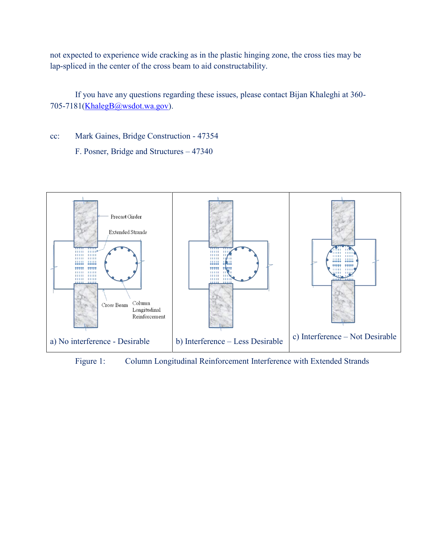not expected to experience wide cracking as in the plastic hinging zone, the cross ties may be lap-spliced in the center of the cross beam to aid constructability.

 If you have any questions regarding these issues, please contact Bijan Khaleghi at 360- 705-7181[\(KhalegB@wsdot.wa.gov\)](mailto:KhalegB@wsdot.wa.gov).

cc: Mark Gaines, Bridge Construction - 47354 F. Posner, Bridge and Structures – 47340



Figure 1: Column Longitudinal Reinforcement Interference with Extended Strands